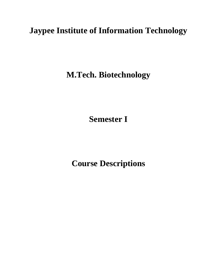# **Jaypee Institute of Information Technology**

**M.Tech. Biotechnology**

**Semester I**

**Course Descriptions**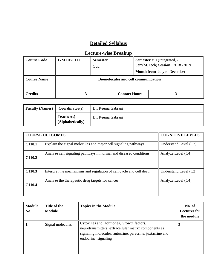| <b>Course Code</b> | 17M11BT111 | <b>Semester</b><br>Odd                     | <b>Semester</b> VII (Integrated) / I<br>Sem(M.Tech) Session 2018-2019<br><b>Month from</b> July to December |  |
|--------------------|------------|--------------------------------------------|-------------------------------------------------------------------------------------------------------------|--|
| <b>Course Name</b> |            | <b>Biomolecules and cell communication</b> |                                                                                                             |  |
| <b>Credits</b>     |            |                                            | <b>Contact Hours</b>                                                                                        |  |

| <b>Faculty (Names)</b> | Coordinator(s)                 | Dr. Reema Gabrani |
|------------------------|--------------------------------|-------------------|
|                        | Teacher(s)<br>(Alphabetically) | Dr. Reema Gabrani |

|        | <b>COURSE OUTCOMES</b>                                               | <b>COGNITIVE LEVELS</b> |
|--------|----------------------------------------------------------------------|-------------------------|
| C110.1 | Explain the signal molecules and major cell signaling pathways       | Understand Level $(C2)$ |
| C110.2 | Analyze cell signaling pathways in normal and diseased conditions    | Analyze Level (C4)      |
| C110.3 | Interpret the mechanisms and regulation of cell cycle and cell death | Understand Level (C2)   |
| C110.4 | Analyze the therapeutic drug targets for cancer                      | Analyze Level (C4)      |

| <b>Module</b><br>No. | Title of the<br><b>Module</b> | <b>Topics in the Module</b>                                                                                                                                                          | No. of<br><b>Lectures for</b><br>the module |
|----------------------|-------------------------------|--------------------------------------------------------------------------------------------------------------------------------------------------------------------------------------|---------------------------------------------|
| 1.                   | Signal molecules              | Cytokines and Hormones, Growth factors,<br>neurotransmitters, extracellular matrix components as<br>signaling molecules; autocrine, paracrine, juxtacrine and<br>endocrine signaling |                                             |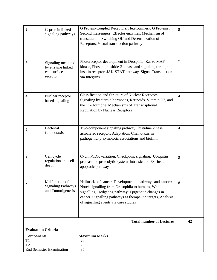| T <sub>2</sub>                                  | <b>End Semester Examination</b>                                    | 20<br>35                                                                                                                                                                                                                                                                   |                |
|-------------------------------------------------|--------------------------------------------------------------------|----------------------------------------------------------------------------------------------------------------------------------------------------------------------------------------------------------------------------------------------------------------------------|----------------|
| T1                                              |                                                                    | 20                                                                                                                                                                                                                                                                         |                |
| <b>Evaluation Criteria</b><br><b>Components</b> |                                                                    | <b>Maximum Marks</b>                                                                                                                                                                                                                                                       |                |
|                                                 |                                                                    | <b>Total number of Lectures</b>                                                                                                                                                                                                                                            | 42             |
|                                                 |                                                                    |                                                                                                                                                                                                                                                                            |                |
| 7.                                              | Malfunction of<br><b>Signaling Pathways</b><br>and Tumorigenesis   | Hallmarks of cancer, Developmental pathways and cancer:<br>Notch signalling from Drosophila to humans, Wnt<br>signalling, Hedgehog pathway; Epigenetic changes in<br>cancer, Signalling pathways as therapeutic targets, Analysis<br>of signalling events via case studies | 8              |
| 6.                                              | Cell cycle<br>regulation and cell<br>death                         | Cyclin-CDK variation, Checkpoint signaling, Ubiquitin<br>proteasome proteolytic system, Intrinsic and Extrinsic<br>apoptotic pathways                                                                                                                                      | 8              |
| 5.                                              | <b>Bacterial</b><br>Chemotaxis                                     | Two-component signaling pathway, histidine kinase<br>associated receptor, Adaptation, Chemotaxis in<br>pathogenicity, symbiotic associations and biofilm                                                                                                                   | $\overline{4}$ |
| 4.                                              | Nuclear receptor<br>based signaling                                | Classification and Structure of Nuclear Receptors,<br>Signaling by steroid hormones, Retinoids, Vitamin D3, and<br>the T3-Hormone, Mechanisms of Transcriptional<br><b>Regulation by Nuclear Receptors</b>                                                                 | $\overline{4}$ |
| 3.                                              | Signaling mediated<br>by enzyme linked<br>cell surface<br>receptor | Photoreceptor development in Drosphila, Ras to MAP<br>kinase, Phosphoinositide-3-kinase and signaling through<br>insulin receptor, JAK-STAT pathway, Signal Transduction<br>via Integrins                                                                                  | 7              |
| 2.                                              | G-protein linked<br>signaling pathways                             | G Protein-Coupled Receptors, Heterotrimeric G Proteins,<br>Second messengers, Effector enzymes, Mechanism of<br>transduction, Switching Off and Desensitization of<br>Receptors, Visual transduction pathway                                                               | 8              |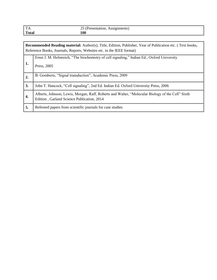| $T_A$        | Assignments,             |
|--------------|--------------------------|
| $\mathbf{L}$ | Presentation,            |
|              | $\overline{\phantom{a}}$ |
| <b>Total</b> | 100                      |

|                | Recommended Reading material: Author(s), Title, Edition, Publisher, Year of Publication etc. (Text books,<br>Reference Books, Journals, Reports, Websites etc. in the IEEE format) |  |  |  |
|----------------|------------------------------------------------------------------------------------------------------------------------------------------------------------------------------------|--|--|--|
| 1.             | Ernst J. M. Helmreich, "The biochemistry of cell signaling," Indian Ed., Oxford University<br>Press, 2005                                                                          |  |  |  |
|                |                                                                                                                                                                                    |  |  |  |
| $\overline{2}$ | B. Gomberts, "Signal transduction", Academic Press, 2009                                                                                                                           |  |  |  |
| 3.             | John T. Hancock, "Cell signaling", 2nd Ed. Indian Ed. Oxford University Press, 2006                                                                                                |  |  |  |
| 4.             | Alberts, Johnson, Lewis, Morgan, Raff, Roberts and Walter, "Molecular Biology of the Cell" Sixth<br>Edition, Garland Science Publication, 2014                                     |  |  |  |
| 5.             | Refereed papers from scientific journals for case studies                                                                                                                          |  |  |  |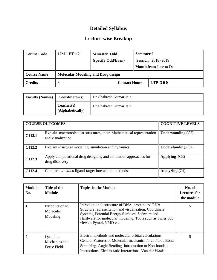| Course Code | 17M11BT112                                | Semester Odd       |                      | <b>Semester I</b> |                               |
|-------------|-------------------------------------------|--------------------|----------------------|-------------------|-------------------------------|
|             |                                           | (specify Odd/Even) |                      |                   | <b>Session</b> 2018-2019      |
|             |                                           |                    |                      |                   | <b>Month from June to Dec</b> |
| Course Name | <b>Molecular Modeling and Drug design</b> |                    |                      |                   |                               |
| Credits     |                                           |                    | <b>Contact Hours</b> |                   | LTP300                        |

| <b>Faculty (Names)</b><br>Coordinator(s) |                                | Dr Chakresh Kumar Jain |
|------------------------------------------|--------------------------------|------------------------|
|                                          | Teacher(s)<br>(Alphabetically) | Dr Chakresh Kumar Jain |

|        | <b>COURSE OUTCOMES</b>                                                                    | <b>COGNITIVE LEVELS</b> |
|--------|-------------------------------------------------------------------------------------------|-------------------------|
| C112.1 | Explain macromolecular structures, their Mathematical representation<br>and visualization | Understanding $(C2)$    |
| C112.2 | Explain structural modeling, simulation and dynamics                                      | Understanding $(C2)$    |
| C112.3 | Apply computational drug designing and simulation approaches for<br>drug discovery        | Applying $(C3)$         |
| C112.4 | Compare <i>in-silico</i> ligand-target interaction methods                                | Analyzing $(C4)$        |

| <b>Module</b><br>No. | Title of the<br>Module                   | <b>Topics in the Module</b>                                                                                                                                                                                                                             | No. of<br><b>Lectures for</b><br>the module |
|----------------------|------------------------------------------|---------------------------------------------------------------------------------------------------------------------------------------------------------------------------------------------------------------------------------------------------------|---------------------------------------------|
| 1.                   | Introduction to<br>Molecular<br>Modeling | Introduction to structure of DNA, protein and RNA.<br>Structure representation and visualization, Coordinate<br>Systems, Potential Energy Surfaces, Software and<br>Hardware for molecular modeling, Tools such as Swiss pdb<br>viewer, Pymol, VMD etc. |                                             |
| 2.                   | Quantum<br>Mechanics and<br>Force Fields | Electron methods and molecular orbital calculations,<br>General Features of Molecular mechanics force field, Bond<br>Stretching. Angle Bending. Introduction to Non-bonded<br>Interactions. Electrostatic Interactions. Van der Waals                   |                                             |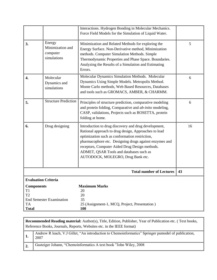|                                                                 |                                                       | Interactions. Hydrogen Bonding in Molecular Mechanics.<br>Force Field Models for the Simulation of Liquid Water.                                                                                                                                                                                                                                           |    |
|-----------------------------------------------------------------|-------------------------------------------------------|------------------------------------------------------------------------------------------------------------------------------------------------------------------------------------------------------------------------------------------------------------------------------------------------------------------------------------------------------------|----|
| 3.                                                              | Energy<br>Minimization and<br>computer<br>simulations | Minimization and Related Methods for exploring the<br>Energy Surface. Non-Derivative method, Minimization<br>methods. Computer Simulation Methods. Simple<br>Thermodynamic Properties and Phase Space. Boundaries.<br>Analyzing the Results of a Simulation and Estimating<br>Errors.                                                                      | 5  |
| $\overline{4}$ .                                                | Molecular<br>Dynamics and<br>simulations              | Molecular Dynamics Simulation Methods. Molecular<br>Dynamics Using Simple Models. Metropolis Method.<br>Monte Carlo methods, Web Based Resources, Databases<br>and tools such as GROMACS, AMBER, & CHARMM.                                                                                                                                                 | 6  |
| 5.                                                              | <b>Structure Prediction</b>                           | Principles of structure prediction, comparative modeling<br>and protein folding, Comparative and ab-inito modeling,<br>CASP, validations, Projects such as ROSETTA, protein<br>folding at home.                                                                                                                                                            | 6  |
| 6.                                                              | Drug designing                                        | Introduction to drug discovery and drug development,<br>Rational approach to drug design, Approaches to lead<br>optimization such as conformation restriction,<br>pharmacophore etc. Designing drugs against enzymes and<br>receptors, Computer Aided Drug Design methods.<br>ADMET, QSAR Tools and databases such as<br>AUTODOCK, MOLEGRO, Drug Bank etc. | 16 |
|                                                                 |                                                       | <b>Total number of Lectures</b>                                                                                                                                                                                                                                                                                                                            | 43 |
| <b>Evaluation Criteria</b>                                      |                                                       |                                                                                                                                                                                                                                                                                                                                                            |    |
| <b>Components</b><br>T1<br>T <sub>2</sub><br>TA<br><b>Total</b> | <b>End Semester Examination</b>                       | <b>Maximum Marks</b><br>20<br>20<br>35<br>25 (Assignment-1, MCQ, Project, Presentation)<br>100                                                                                                                                                                                                                                                             |    |

|                  | <b>Recommended Reading material:</b> Author(s), Title, Edition, Publisher, Year of Publication etc. (Text books,<br>Reference Books, Journals, Reports, Websites etc. in the IEEE format) |  |  |  |
|------------------|-------------------------------------------------------------------------------------------------------------------------------------------------------------------------------------------|--|--|--|
|                  | Andrew R leach, V.J Gillet, "An introduction to Chemoinformatics" Springer pumodel of publication,<br>2007                                                                                |  |  |  |
| $\overline{2}$ . | Gasteiger Johann, "Chemoinformatics A text book "John Wiley, 2008                                                                                                                         |  |  |  |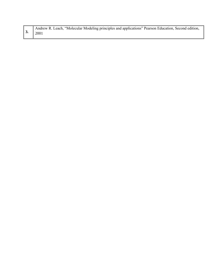| Andrew R. Leach, "Molecular Modeling principles and applications" Pearson Education, Second edition, |
|------------------------------------------------------------------------------------------------------|
| $\vert 3. \vert 2001 \vert$                                                                          |
|                                                                                                      |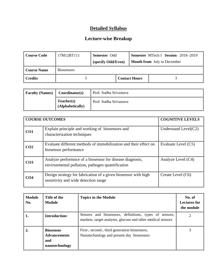| <b>Course Code</b> | 17M12BT111        | <b>Semester Odd</b>  |  | <b>Semester MTech I Session</b> 2018-2019 |  |
|--------------------|-------------------|----------------------|--|-------------------------------------------|--|
|                    |                   | (specify Odd/Even)   |  | <b>Month from</b> July to December        |  |
| <b>Course Name</b> | <b>Biosensors</b> |                      |  |                                           |  |
| <b>Credits</b>     |                   | <b>Contact Hours</b> |  |                                           |  |

| <b>Faculty (Names)</b> | Coordinator(s)                 | Prof. Sudha Srivastava |
|------------------------|--------------------------------|------------------------|
|                        | Teacher(s)<br>(Alphabetically) | Prof. Sudha Srivastava |

|                 | <b>COURSE OUTCOMES</b>                                                                                       | <b>COGNITIVE LEVELS</b> |
|-----------------|--------------------------------------------------------------------------------------------------------------|-------------------------|
| CO1             | Explain principle and working of biosensors and<br>characterization techniques                               | Understand Level $(C2)$ |
| CO <sub>2</sub> | Evaluate different methods of immobilization and their effect on<br>biosensor performance                    | Evaluate Level (C5)     |
| CO <sub>3</sub> | Analyze performnce of a biosensor for disease diagnosis,<br>environmental pollution, pathogen quantification | Analyze Level (C4)      |
| CO <sub>4</sub> | Design strategy for fabrication of a given biosensor with high<br>sensitivity and wide detection range       | Create Level (C6)       |

| <b>Module</b><br>No. | Title of the<br><b>Module</b>                                    | <b>Topics in the Module</b>                                                                                           | No. of<br><b>Lectures for</b><br>the module |
|----------------------|------------------------------------------------------------------|-----------------------------------------------------------------------------------------------------------------------|---------------------------------------------|
| -1.                  | <b>Introduction:</b>                                             | Sensors and biosensors, definitions, types of sensors,<br>markets, target analytes, glucose and other medical sensors |                                             |
| 2.                   | <b>Biosensor</b><br><b>Advancements</b><br>and<br>nanotechnology | First-, second-, third generation biosensors,<br>Nanotechnology and present day biosensors                            |                                             |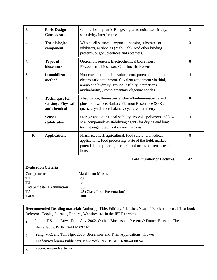| 3.                                                                            | <b>Basic Design</b><br><b>Considerations</b>                                                                                         | Calibration, dynamic Range, signal to noise, sensitivity,<br>selectivity, interference.                                                                                                                                      | $\overline{3}$ |
|-------------------------------------------------------------------------------|--------------------------------------------------------------------------------------------------------------------------------------|------------------------------------------------------------------------------------------------------------------------------------------------------------------------------------------------------------------------------|----------------|
| 4.                                                                            | The biological<br>component                                                                                                          | Whole cell sensors, enzymes – sensing substrates or<br>inhibitors, antibodies (Mab, Fab). And other binding<br>proteins, oligonucleotides and aptamers.                                                                      | 3              |
| 5.                                                                            | <b>Types of</b><br>Optical biosensors, Electrochemical biosensors,<br>Piezoelectric biosensor, Calorimetric biosensors<br>biosensors |                                                                                                                                                                                                                              |                |
| 6.                                                                            | <b>Immobilization</b><br>method                                                                                                      | Non-covalent immobilization - entrapment and multipoint<br>electrostatic attachment. Covalent attachment via thiol,<br>amino and hydroxyl groups. Affinity interactions -<br>avidin/biotin,, complementary oligonucleotides. | $\overline{4}$ |
| 7.                                                                            | <b>Techniques for</b><br>sensing: Physical<br>and chemical                                                                           | Absorbance, fluorescence, chemi/bioluminescence and<br>phosphorescence, Surface Plasmon Resonance (SPR),<br>quartz crystal microbalance, cyclic voltammetry                                                                  | 8              |
| 8.                                                                            | <b>Sensor</b><br>stabilization                                                                                                       | Storage and operational stability. Polyols, polymers and low<br>Mw compounds as stabilizing agents for drying and long<br>term storage. Stabilization mechanisms.                                                            | 3              |
| 9.                                                                            | <b>Applications</b>                                                                                                                  | Pharmaceutical, agricultural, food safety, biomedical<br>applications, food processing: state of the field, market<br>potential, unique design criteria and needs, current sensors<br>in use.                                | $\,8\,$        |
|                                                                               |                                                                                                                                      | <b>Total number of Lectures</b>                                                                                                                                                                                              | 42             |
| <b>Evaluation Criteria</b>                                                    |                                                                                                                                      |                                                                                                                                                                                                                              |                |
| <b>Components</b><br><b>T1</b><br>T <sub>2</sub><br><b>TA</b><br><b>Total</b> | <b>End Semester Examination</b>                                                                                                      | <b>Maximum Marks</b><br>20<br>20<br>35<br>25 (Class Test, Presentation)<br><b>100</b>                                                                                                                                        |                |

|                | <b>Recommended Reading material:</b> Author(s), Title, Edition, Publisher, Year of Publication etc. (Text books,<br>Reference Books, Journals, Reports, Websites etc. in the IEEE format) |  |  |  |  |
|----------------|-------------------------------------------------------------------------------------------------------------------------------------------------------------------------------------------|--|--|--|--|
| 1.             | Ligler, F.S. and Rowe Taitt, C.A. 2002. Optical Biosensors: Present & Future. Elsevier, The                                                                                               |  |  |  |  |
|                | Netherlands. ISBN: 0-444-50974-7.                                                                                                                                                         |  |  |  |  |
| 2.             | Yang, V.C. and T.T. Ngo. 2000. Biosensors and Their Applications. Kluwer                                                                                                                  |  |  |  |  |
|                | Academic/Plenum Publishers, New York, NY. ISBN: 0-306-46087-4.                                                                                                                            |  |  |  |  |
| $^{\prime}$ 3. | Recent research articles                                                                                                                                                                  |  |  |  |  |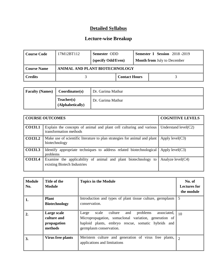| Course Code         | 17M12BT112 | Semester ODD<br>(specify Odd/Even) |                      |  | <b>Semester I Session</b> 2018-2019<br><b>Month from July to December</b> |
|---------------------|------------|------------------------------------|----------------------|--|---------------------------------------------------------------------------|
| Course Name         |            | ANIMAL AND PLANT BIOTECHNOLOGY     |                      |  |                                                                           |
| $\parallel$ Credits |            |                                    | <b>Contact Hours</b> |  |                                                                           |

| <b>Faculty (Names)</b> | Coordinator(s)                 | Dr. Garima Mathur |
|------------------------|--------------------------------|-------------------|
|                        | Teacher(s)<br>(Alphabetically) | Dr. Garima Mathur |

|                 | <b>COURSE OUTCOMES</b>                                                                        | <b>COGNITIVE LEVELS</b> |
|-----------------|-----------------------------------------------------------------------------------------------|-------------------------|
| $\vert$ CO131.1 | Explain the concepts of animal and plant cell culturing and various<br>transformation methods | Understand $level(C2)$  |
| CO131.2         | Make use of scientific literature to plan strategies for animal and plant<br>biotechnology    | Apply $level(C3)$       |
| CO131.3         | Identify appropriate techniques to address related biotechnological<br>problems               | Apply $level(C3)$       |
| CO131.4         | Examine the applicability of animal and plant biotechnology to<br>existing Biotech Industries | Analyze $level(C4)$     |

| <b>Module</b><br>No. | Title of the<br>Module                               | <b>Topics in the Module</b>                                                                                                                                                                                          | No. of<br><b>Lectures for</b><br>the module |
|----------------------|------------------------------------------------------|----------------------------------------------------------------------------------------------------------------------------------------------------------------------------------------------------------------------|---------------------------------------------|
| 1.                   | <b>Plant</b><br><b>Biotechnology</b>                 | Introduction and types of plant tissue culture, germplasm<br>conservation.                                                                                                                                           | -5                                          |
| $\overline{2}$       | Large scale<br>culture and<br>propagation<br>methods | culture<br>and<br>problems<br>associated, $\parallel$ 10<br>Large<br>scale<br>Micropropagation, somaclonal variation, generation of<br>haploid plants, embryo rescue, somatic hybrids and<br>germplasm conservation. |                                             |
| 3.                   | Virus free plants                                    | Meristem culture and generation of virus free plants, $\  \gamma$<br>applications and limitations                                                                                                                    |                                             |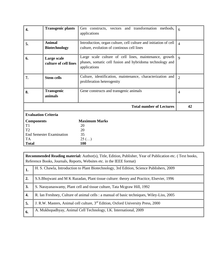| 4.                               | <b>Transgenic plants</b>              | Gen constructs, vectors and transformation methods,<br>applications                                                                | 6              |
|----------------------------------|---------------------------------------|------------------------------------------------------------------------------------------------------------------------------------|----------------|
| 5.                               | <b>Animal</b><br><b>Biotechnology</b> | Introduction, organ culture, cell culture and initiation of cell<br>culture, evolution of continous cell lines                     | $\overline{4}$ |
| 6.                               | Large scale<br>culture of cell lines  | Large scale culture of cell lines, maintenance, growth<br>phases, somatic cell fusion and hybridoma technology and<br>applications | $\mathbf Q$    |
| 7.                               | <b>Stem cells</b>                     | Culture, identification, maintenance, characterization and<br>proliferation heterogenity                                           | $\overline{2}$ |
| 8.                               | <b>Transgenic</b><br>animals          | Gene constructs and transgenic animals                                                                                             | $\overline{4}$ |
|                                  |                                       | <b>Total number of Lectures</b>                                                                                                    | 42             |
| <b>Evaluation Criteria</b>       |                                       |                                                                                                                                    |                |
| <b>Components</b>                |                                       | <b>Maximum Marks</b>                                                                                                               |                |
| T <sub>1</sub><br>T <sub>2</sub> |                                       | 20<br>20                                                                                                                           |                |
| <b>End Semester Examination</b>  |                                       | 35                                                                                                                                 |                |
| <b>TA</b>                        |                                       | $25$ ()                                                                                                                            |                |
| <b>Total</b>                     |                                       | 100                                                                                                                                |                |

|                  | <b>Recommended Reading material:</b> Author(s), Title, Edition, Publisher, Year of Publication etc. (Text books,<br>Reference Books, Journals, Reports, Websites etc. in the IEEE format) |  |  |  |
|------------------|-------------------------------------------------------------------------------------------------------------------------------------------------------------------------------------------|--|--|--|
| 1.               | H. S. Chawla, Introduction to Plant Biotechnology, 3rd Edition, Science Publishers, 2009                                                                                                  |  |  |  |
| $\overline{2}$ . | S.S.Bhojwani and M K Razadan, Plant tissue culture: theory and Practice, Elsevier, 1996                                                                                                   |  |  |  |
| 3.               | S. Narayanaswamy, Plant cell and tissue culture, Tata Mcgraw Hill, 1992                                                                                                                   |  |  |  |
| 4.               | R. Ian Freshney, Culture of animal cells : a manual of basic techniques, Wiley-Liss, 2005                                                                                                 |  |  |  |
| 5.               | J. R.W. Masters, Animal cell culture, 3 <sup>rd</sup> Edition, Oxford University Press, 2000                                                                                              |  |  |  |
| 6.               | A. Mukhopadhyay, Animal Cell Technology, I.K. International, 2009                                                                                                                         |  |  |  |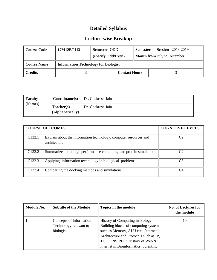| Course Code | 17M12BT113                                  | Semester ODD       |                      |  | Semester I Session 2018-2019       |
|-------------|---------------------------------------------|--------------------|----------------------|--|------------------------------------|
|             |                                             | (specify Odd/Even) |                      |  | <b>Month from July to December</b> |
| Course Name | <b>Information Technology for Biologist</b> |                    |                      |  |                                    |
| ∥ Credits   |                                             |                    | <b>Contact Hours</b> |  |                                    |

| $\vert$ Faculty        |                                | <b>Coordinator(s)</b> $\parallel$ Dr. Chakresh Jain |
|------------------------|--------------------------------|-----------------------------------------------------|
| $\blacksquare$ (Names) | Teacher(s)<br>(Alphabetically) | Dr. Chakresh Jain                                   |

|                    | <b>COURSE OUTCOMES</b>                                                           | <b>COGNITIVE LEVELS</b> |
|--------------------|----------------------------------------------------------------------------------|-------------------------|
| C <sub>132.1</sub> | Explain about the information technology, computer resources and<br>architecture | C2                      |
| C <sub>132.2</sub> | Summarize about high performance computing and protein simulations               | C2                      |
| C <sub>132.3</sub> | Applying information technology in biological problems                           | C <sub>3</sub>          |
| C132.4             | Comparing the docking methods and simulations                                    | C <sub>4</sub>          |

| <b>Module No.</b> | <b>Subtitle of the Module</b>                                  | Topics in the module                                                                                                                                                                                                                  | <b>No. of Lectures for</b><br>the module |
|-------------------|----------------------------------------------------------------|---------------------------------------------------------------------------------------------------------------------------------------------------------------------------------------------------------------------------------------|------------------------------------------|
| ' 1.              | Concepts of Information<br>Technology relevant to<br>biologist | History of Computing in biology,<br>Building blocks of computing systems<br>such as Memory, ALU etc., Internet<br>Architecture and Protocols such as IP,<br>TCP, DNS, NTP. History of Web &<br>internet in Bioinformatics, Scientific | 10                                       |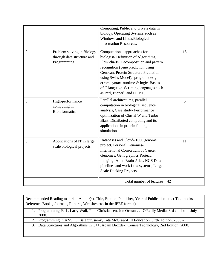|    |                                                                         | Computing, Public and private data in<br>biology, Operating Systems such as<br>Windows and Linux.Biological<br><b>Information Resources.</b>                                                                                                                                                                                                            |    |
|----|-------------------------------------------------------------------------|---------------------------------------------------------------------------------------------------------------------------------------------------------------------------------------------------------------------------------------------------------------------------------------------------------------------------------------------------------|----|
| 2. | Problem solving in Biology<br>through data structure and<br>Programming | Computational approaches for<br>biologist-Definition of Algorithms,<br>Flow charts, Decomposition and pattern<br>recognition (gene prediction using<br>Genscan; Protein Structure Prediction<br>using Swiss Model), program design,<br>errors-syntax, runtime & logic. Basics<br>of C language. Scripting languages such<br>as Perl, Bioperl, and HTML. | 15 |
| 3. | High-performance<br>computing in<br><b>Bioinformatics</b>               | Parallel architectures, parallel<br>computation in biological sequence<br>analysis, Case study-Performance<br>optimization of Clustal W and Turbo<br>Blast. Distributed computing and its<br>applications in protein folding<br>simulations.                                                                                                            | 6  |
| 3. | Applications of IT in large<br>scale biological projects                | Databases and Cloud-1000 genome<br>project, Personal Genomes-<br><b>International Consortium of Cancer</b><br>Genomes, Genographics Project,<br>Imaging- Allen Brain Atlas, NGS Data<br>pipelines and work flow systems, Large<br>Scale Docking Projects.                                                                                               | 11 |
|    |                                                                         | Total number of lectures                                                                                                                                                                                                                                                                                                                                | 42 |

Recommended Reading material: Author(s), Title, Edition, Publisher, Year of Publication etc. ( Text books, Reference Books, Journals, Reports, Websites etc. in the IEEE format)

1. Programming Perl , [Larry Wall, Tom Christiansen, Jon Orwant,](http://shop.oreilly.com/product/9780596000271.do?sortby=publicationDate#tab_04_0) , O'Reilly Media, 3rd edition, , July 2000.

2. Programming in ANSI C, [Balagurusamy,](http://www.google.co.in/search?tbo=p&tbm=bks&q=inauthor:%22Balagurusamy%22) Tata McGraw-Hill Education, 8 rth edition, 2008 -

3. Data Structures and Algorithms in C++, Adam Drozdek, Course Technology, 2nd Edition, 2000.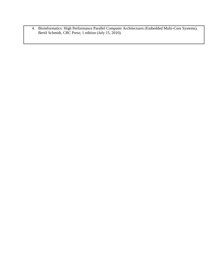4. Bioinformatics: High Performance Parallel Computer Architectures (Embedded Multi-Core Systems), [Bertil Schmidt,](http://www.amazon.com/s/ref=ntt_athr_dp_sr_1?_encoding=UTF8&field-author=Bertil%20Schmidt&search-alias=books&sort=relevancerank) CRC Press; 1 edition (July 15, 2010).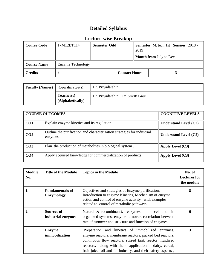| Course Code            | 17M12BT114        | <b>Semester Odd</b>  |  | 2019 | <b>Semester</b> M. tech 1st <b>Session</b> 2018 -<br><b>Month from July to Dec</b> |
|------------------------|-------------------|----------------------|--|------|------------------------------------------------------------------------------------|
| Course Name            | Enzyme Technology |                      |  |      |                                                                                    |
| $\blacksquare$ Credits |                   | <b>Contact Hours</b> |  |      |                                                                                    |

| <b>Faculty (Names)</b> | Coordinator(s)                 | Dr. Priyadarshini                  |
|------------------------|--------------------------------|------------------------------------|
|                        | Teacher(s)<br>(Alphabetically) | Dr. Priyadarshini, Dr. Smriti Gaur |

| <b>COURSE OUTCOMES</b> |                                                                                     | <b>COGNITIVE LEVELS</b>      |
|------------------------|-------------------------------------------------------------------------------------|------------------------------|
| CO <sub>1</sub>        | Explain enzyme kinetics and its regulation.                                         | Understand Level $(C2)$      |
| CO <sub>2</sub>        | Outline the purification and characterization strategies for industrial<br>enzymes. | <b>Understand Level (C2)</b> |
| CO <sub>3</sub>        | Plan the production of metabolites in biological system.                            | Apply Level $(C3)$           |
| CO <sub>4</sub>        | Apply acquired knowledge for commercialization of products.                         | Apply Level (C3)             |

| <b>Module</b><br>No. | <b>Title of the Module</b>                  | <b>Topics in the Module</b>                                                                                                                                                                                                                                                                           | No. of<br><b>Lectures for</b><br>the module |
|----------------------|---------------------------------------------|-------------------------------------------------------------------------------------------------------------------------------------------------------------------------------------------------------------------------------------------------------------------------------------------------------|---------------------------------------------|
| 1.                   | <b>Fundamentals of</b><br><b>Enzymology</b> | Objectives and strategies of Enzyme purification,<br>Introduction to enzyme Kinetics, Mechanism of enzyme<br>action and control of enzyme activity with examples<br>related to control of metabolic pathways.                                                                                         | 8                                           |
| $\overline{2}$ .     | <b>Sources of</b><br>industrial enzymes     | Natural & recombinant), enzymes in the cell and in<br>organized systems, enzyme turnover, correlation between<br>rate of turnover and structure and function of enzymes                                                                                                                               | h                                           |
| 3 <sub>1</sub>       | <b>Enzyme</b><br>immobilization             | Preparation and kinetics of immobilized enzymes,<br>enzyme reactors, membrane reactors, packed bed reactors,<br>continuous flow reactors, stirred tank reactor, fluidized<br>reactors, along with their application in dairy, cereal,<br>fruit juice, oil and fat industry, and their safety aspects, | 3                                           |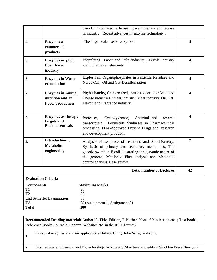|                                                                        |                                                                    | use of immobilized raffinase, lipase, invertase and lactase<br>in industry Recent advances in enzyme technology.                                                                                                                                                   |                         |  |
|------------------------------------------------------------------------|--------------------------------------------------------------------|--------------------------------------------------------------------------------------------------------------------------------------------------------------------------------------------------------------------------------------------------------------------|-------------------------|--|
| $\overline{4}$ .                                                       | <b>Enzymes</b> as<br>commercial<br>products                        | The large-scale use of enzymes                                                                                                                                                                                                                                     | $\overline{\mathbf{4}}$ |  |
| 5.                                                                     | <b>Enzymes</b> in plant<br>fiber based<br>industry                 | Biopulping Paper and Pulp industry, Textile industry<br>and in Laundry detergents                                                                                                                                                                                  | 4                       |  |
| 6.                                                                     | <b>Enzymes in Waste</b><br>remediation                             | Explosives, Organophosphates in Pesticide Residues and<br>Nerve Gas, Oil and Gas Desulfurization                                                                                                                                                                   | $\overline{\mathbf{4}}$ |  |
| 7.                                                                     | <b>Enzymes in Animal</b><br>nutrition and in<br>Food production    | Pig husbandry, Chicken feed, cattle fodder like Milk and<br>Cheese industries, Sugar industry, Meat industry, Oil, Fat,<br>Flavor and Fragrance industry                                                                                                           | 4                       |  |
| 8.                                                                     | <b>Enzymes</b> as therapy<br>targets and<br><b>Pharmaceuticals</b> | Cycloxygenase,<br>Antivirals, and<br>Proteases,<br>reverse<br>Polyketide Synthases in Pharmaceutical<br>transcriptase,<br>processing, FDA-Approved Enzyme Drugs and research<br>and development products.                                                          | 4                       |  |
| 9.                                                                     | <b>Introduction to</b><br><b>Metabolic</b><br>engineering          | Analysis of sequence of reactions and Stoichiometry,<br>Synthesis of primary and secondary metabolites, The<br>genetic switch in E.coli illustrating the dynamic nature of<br>the genome, Metabolic Flux analysis and Metabolic<br>control analysis, Case studies. | $\overline{7}$          |  |
|                                                                        |                                                                    | <b>Total number of Lectures</b>                                                                                                                                                                                                                                    | 42                      |  |
| <b>Evaluation Criteria</b>                                             |                                                                    |                                                                                                                                                                                                                                                                    |                         |  |
| <b>Components</b><br>T1<br>T <sub>2</sub><br><b>TA</b><br><b>Total</b> | <b>End Semester Examination</b>                                    | <b>Maximum Marks</b><br>20<br>20<br>35<br>25 (Assignment 1, Assignment 2)<br><b>100</b>                                                                                                                                                                            |                         |  |

|                | <b>Recommended Reading material:</b> Author(s), Title, Edition, Publisher, Year of Publication etc. (Text books,<br>Reference Books, Journals, Reports, Websites etc. in the IEEE format) |  |  |  |  |
|----------------|-------------------------------------------------------------------------------------------------------------------------------------------------------------------------------------------|--|--|--|--|
| $^{\prime}$ 1. | Industrial enzymes and their applications Helmut Uhlig, John Wiley and sons.                                                                                                              |  |  |  |  |
| 2.             | Biochemical engineering and Biotechnology Atkins and Mavituna 2nd edition Stockton Press New york                                                                                         |  |  |  |  |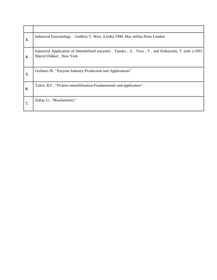| 3. | Industrial Enzymology . Godfrey T. West, S. (eds) 1996, Mac millan Press London                                              |
|----|------------------------------------------------------------------------------------------------------------------------------|
| 4. | Industrial Application of Immobilized enzymes . Tanaka, A. Tosa, T. and Kobayashi, T. (eds.).1993<br>Marcel Dekker, New York |
| 5. | Gerharts W, "Enzyme Industry-Production and Applications"                                                                    |
| 6. | Tailor, R.F., "Protein immobilisation-Fundamentals and application"                                                          |
| 7. | Zubay G., "Biochemistry"                                                                                                     |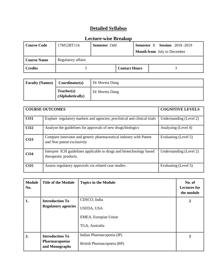| Course Code         | 17M12BT116         | <b>Semester Odd</b> |                      | <b>Semester X</b> Session 2018-2019<br><b>Month from</b> July to December |  |  |
|---------------------|--------------------|---------------------|----------------------|---------------------------------------------------------------------------|--|--|
| <b>Course Name</b>  | Regulatory affairs |                     |                      |                                                                           |  |  |
| $\parallel$ Credits |                    |                     | <b>Contact Hours</b> |                                                                           |  |  |

| <b>Faculty (Names)</b> | Coordinator(s)                 | Dr Shweta Dang |
|------------------------|--------------------------------|----------------|
|                        | Teacher(s)<br>(Alphabetically) | Dr Shweta Dang |

|                 | <b>COURSE OUTCOMES</b>                                                                          | <b>COGNITIVE LEVELS</b> |
|-----------------|-------------------------------------------------------------------------------------------------|-------------------------|
| CO <sub>1</sub> | Explain regulatory markets and agencies; preclinical and clinical trials                        | Understanding (Level 2) |
| CO <sub>2</sub> | Analyze the guidelines for approvals of new drugs/biologics                                     | Analyzing (Level 4)     |
| CO <sub>3</sub> | Compare innovator and generic pharmaceutical industry with Patent<br>and Non patent exclusivity | Evaluating (Level 5)    |
| CO <sub>4</sub> | Interpret ICH guidelines applicable to drugs and biotechnology based<br>therapeutic products.   | Understanding (Level 2) |
| CO <sub>5</sub> | Assess regulatory approvals via related case studies                                            | Evaluating (Level 5)    |

| <b>Module</b><br>No. | <b>Title of the Module</b>                                 | <b>Topics in the Module</b>                                                 | No. of<br><b>Lectures for</b><br>the module |
|----------------------|------------------------------------------------------------|-----------------------------------------------------------------------------|---------------------------------------------|
| 1.                   | <b>Introduction To</b><br><b>Regulatory agencies</b>       | CDSCO, India<br><b>USFDA, USA</b><br>EMEA, Europian Union<br>TGA, Australia | 2                                           |
| 2.                   | <b>Introduction To</b><br>Pharmacopoeias<br>and Monographs | Indian Pharmacopoeia (IP)<br>British Pharmacopoeia (BP)                     | 2                                           |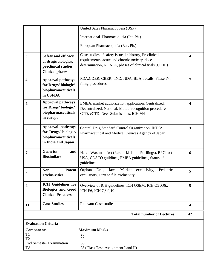|                   |                                 | United Sates Pharmacopoeia (USP)                                                                               |                         |
|-------------------|---------------------------------|----------------------------------------------------------------------------------------------------------------|-------------------------|
|                   |                                 | International Pharmacopoeia (Int. Ph.)                                                                         |                         |
|                   |                                 | European Pharmacopoeia (Eur. Ph.)                                                                              |                         |
|                   |                                 |                                                                                                                |                         |
| 3.                | <b>Safety and efficacy</b>      | Case studies of safety issues in history, Preclinical                                                          | $\overline{\mathbf{4}}$ |
|                   | of drugs/biologics,             | requirements, acute and chronic toxicity, dose                                                                 |                         |
|                   | preclinical studies,            | determination, NOAEL, phases of clinical trials (I,II III)                                                     |                         |
|                   | <b>Clinical phases</b>          |                                                                                                                |                         |
| $\overline{4}$ .  | <b>Approval pathways</b>        | FDA, CDER, CBER, IND, NDA, BLA, recalls, Phase IV,                                                             | $\overline{7}$          |
|                   | for Drugs/biologic/             | filing procedures                                                                                              |                         |
|                   | biopharmaceuticals<br>in USFDA  |                                                                                                                |                         |
|                   | <b>Approval pathways</b>        |                                                                                                                |                         |
| 5.                | for Drugs/biologic/             | EMEA, market authorization application. Centralized,<br>Decentralized, National, Mutual recognition procedure. | 4                       |
|                   | biopharmaceuticals              | CTD, eCTD, Nees Submissions, ICH M4                                                                            |                         |
|                   | in europe                       |                                                                                                                |                         |
|                   | Approval pathways               |                                                                                                                | $\mathbf{3}$            |
| 6.                | for Drugs/ biologic/            | Central Drug Standard Control Organization, INDIA,<br>Pharmaceutical and Medical Devices Agency of Japan       |                         |
|                   | biopharmaceuticals              |                                                                                                                |                         |
|                   | in India and Japan              |                                                                                                                |                         |
| 7.                | <b>Generics</b><br>and          | Hatch Wax man Act (Para I, II, III and IV filings), BPCI act                                                   | 6                       |
|                   | <b>Biosimilars</b>              | USA, CDSCO guildines, EMEA guidelines, Status of                                                               |                         |
|                   |                                 | guidelines                                                                                                     |                         |
| 8.                | <b>Non</b><br><b>Patent</b>     | Market<br>Pediatrics<br>Orphan<br>law,<br>exclusivity,<br>Drug                                                 | 5                       |
|                   | <b>Exclusivities</b>            | exclusivity, First to file exclusivity                                                                         |                         |
| 9.                | <b>ICH Guidelines for</b>       | Overview of ICH guidelines, ICH QSEM, ICH Q5, Q6,.                                                             | 5                       |
|                   | <b>Biologics and Good</b>       | ICH E6, ICH Q8,9,10                                                                                            |                         |
|                   | <b>Clinical Practices</b>       |                                                                                                                |                         |
| 11.               | <b>Case Studies</b>             | <b>Relevant Case studies</b>                                                                                   | $\overline{\mathbf{4}}$ |
|                   |                                 |                                                                                                                |                         |
|                   |                                 | <b>Total number of Lectures</b>                                                                                | 42                      |
|                   | <b>Evaluation Criteria</b>      |                                                                                                                |                         |
| <b>Components</b> |                                 | <b>Maximum Marks</b>                                                                                           |                         |
| T1                |                                 | 20                                                                                                             |                         |
| T <sub>2</sub>    | <b>End Semester Examination</b> | 20<br>35                                                                                                       |                         |
| TA                |                                 | 25 (Class Test, Assignment I and II)                                                                           |                         |
|                   |                                 |                                                                                                                |                         |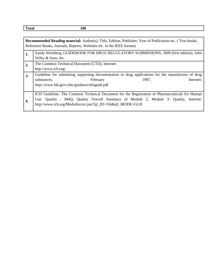**Total** 100

|    | <b>Recommended Reading material:</b> Author(s), Title, Edition, Publisher, Year of Publication etc. (Text books,<br>Reference Books, Journals, Reports, Websites etc. in the IEEE format) |  |  |  |  |  |
|----|-------------------------------------------------------------------------------------------------------------------------------------------------------------------------------------------|--|--|--|--|--|
| 1. | Sandy Weinberg, GUIDEBOOK FOR DRUG REGULATORY SUBMISSIONS, 2009 (first edition), John                                                                                                     |  |  |  |  |  |
|    | Wiley $&$ Sons, Inc.                                                                                                                                                                      |  |  |  |  |  |
| 2. | The Common Technical Document (CTD), Internet:                                                                                                                                            |  |  |  |  |  |
|    | http://www.ich.org/                                                                                                                                                                       |  |  |  |  |  |
| 3. | Guideline for submitting supporting documentation in drug applications for the manufacture of drug                                                                                        |  |  |  |  |  |
|    | 1987,<br>Internet:<br>substances,<br>February                                                                                                                                             |  |  |  |  |  |
|    | http://www.fda.gov/cder/guidance/drugsub.pdf                                                                                                                                              |  |  |  |  |  |
|    |                                                                                                                                                                                           |  |  |  |  |  |
|    | ICH Guideline: The Common Technical Document for the Registration of Pharmaceuticals for Human                                                                                            |  |  |  |  |  |
| 4. | Use: Quality - M4Q; Quality Overall Summary of Module 2, Module 3: Quality, Internet:                                                                                                     |  |  |  |  |  |
|    | http://www.ich.org/MediaServer.jser?@_ID=556&@_MODE=GLB                                                                                                                                   |  |  |  |  |  |
|    |                                                                                                                                                                                           |  |  |  |  |  |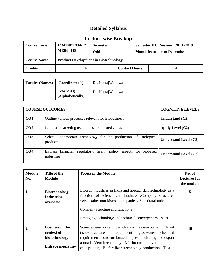| <b>Course Code</b> | 14M1NBT334/17<br><b>M12BT118</b>            | <b>Semester</b><br>Odd |  |  | <b>Semester III. Session</b> 2018-2019<br><b>Month from June to December</b> |
|--------------------|---------------------------------------------|------------------------|--|--|------------------------------------------------------------------------------|
| <b>Course Name</b> | <b>Product Development in Biotechnology</b> |                        |  |  |                                                                              |
| <b>Credits</b>     |                                             | <b>Contact Hours</b>   |  |  |                                                                              |

| <b>Faculty (Names)</b> | Coordinator(s)                 | Dr. NeerajWadhwa |
|------------------------|--------------------------------|------------------|
|                        | Teacher(s)<br>(Alphabetically) | Dr. NeerajWadhwa |

|                 | <b>COURSE OUTCOMES</b>                                                          | <b>COGNITIVE LEVELS</b>      |
|-----------------|---------------------------------------------------------------------------------|------------------------------|
| CO1             | Outline various processes relevant for Biobusiness                              | Understand $(C2)$            |
| CO <sub>2</sub> | Compare marketing techniques and related ethics                                 | Apply Level $(C2)$           |
| CO <sub>3</sub> | appropriate technology for the production of Biological<br>Select<br>products   | <b>Understand Level (C3)</b> |
| CO <sub>4</sub> | Explain financial, regulatory, health policy aspects for biobased<br>industries | <b>Understand Level (C2)</b> |

| <b>Module</b><br>No. | Title of the<br><b>Module</b>                         | <b>Topics in the Module</b>                                                                                                                                                                                                                                               | No. of<br><b>Lectures for</b><br>the module |
|----------------------|-------------------------------------------------------|---------------------------------------------------------------------------------------------------------------------------------------------------------------------------------------------------------------------------------------------------------------------------|---------------------------------------------|
| 1.                   | <b>Biotechnology</b><br><b>Industries</b><br>overview | Biotech industries in India and abroad, , Biotechnology as a<br>function of science and business , Company structures<br>versus other non-biotech companies, Functional units<br>Company structure and functions<br>Emerging technology and technical convergences issues | 5                                           |
| $\overline{2}$ .     | <b>Business in the</b><br>context of                  | Science/development, the idea and its development, Plant<br>lab-equipment- glasswares chemical<br>culture<br>tissue                                                                                                                                                       | 10                                          |
|                      | biotechnology<br>Entrepreneurship-                    | requiremen-- construction, techniques in culturing and export<br>abroad, Vermitechnology, Mushroom cultivation, single<br>cell protein, Biofertilizer technology-production, Textile                                                                                      |                                             |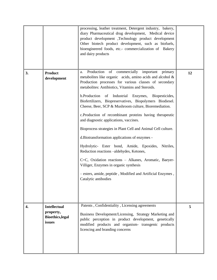|    |                                                                       | processing, leather treatment, Detergent industry, bakery,<br>diary Pharmaceutical drug development, Medical device<br>product development ,Technology product development<br>Other biotech product development, such as biofuels,<br>bioengineered foods, etc.- commercialization of Bakery<br>and dairy products                                                                                                                                                                                                                                                                                                                                                                                                                                                                                                                                                                                                                         |    |
|----|-----------------------------------------------------------------------|--------------------------------------------------------------------------------------------------------------------------------------------------------------------------------------------------------------------------------------------------------------------------------------------------------------------------------------------------------------------------------------------------------------------------------------------------------------------------------------------------------------------------------------------------------------------------------------------------------------------------------------------------------------------------------------------------------------------------------------------------------------------------------------------------------------------------------------------------------------------------------------------------------------------------------------------|----|
| 3. | <b>Product</b><br>development                                         | Production<br>of<br>commercially important primary<br>a.<br>metabolites like organic acids, amino acids and alcohol $\&$<br>Production processes for various classes of secondary<br>metabolites: Antibiotics, Vitamins and Steroids.<br>b.Production<br>Industrial Enzymes, Biopesticides,<br>of<br>Biofertilizers, Biopreservatives, Biopolymers Biodiesel.<br>Cheese, Beer, SCP & Mushroom culture, Bioremediation.<br>c.Production of recombinant proteins having therapeutic<br>and diagnostic applications, vaccines.<br>Bioprocess strategies in Plant Cell and Animal Cell culture.<br>d. Biotransformation applications of enzymes -<br>Hydrolytic- Ester bond, Amide, Epoxides, Nitriles,<br>Reduction reactions -- aldehydes, Ketones,<br>C=C, Oxidation reactions - Alkanes, Aromatic, Baeyer-<br>Villiger, Enzymes in organic synthesis<br>- esters, amide, peptide, Modified and Artificial Enzymes,<br>Catalytic antibodies | 12 |
| 4. | <b>Intellectual</b><br>property,<br><b>Bioethics, legal</b><br>issues | Patents, Confidentiality, Licensing agreements<br>Business Development/Licensing, Strategy Marketing and<br>public perception in product development, genetically<br>modified products and organism- transgenic products<br>licencing and branding concerns                                                                                                                                                                                                                                                                                                                                                                                                                                                                                                                                                                                                                                                                                | 5  |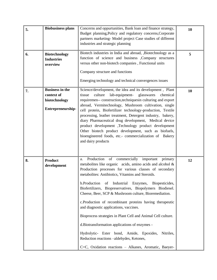| 5. | <b>Biobusiness plans</b>                                                   | Concerns and oppurtunities, Bank loan and finance strategy,<br>Budget planning, Policy and regulatory concerns, Corporate<br>partners marketing- Model project Case studies of different<br>industries and strategic planning<br>Biotech industries in India and abroad, ,Biotechnology as a                                                                                                                                                                                                                                                                                                                                                                                                                                                                                                         | 10 |
|----|----------------------------------------------------------------------------|------------------------------------------------------------------------------------------------------------------------------------------------------------------------------------------------------------------------------------------------------------------------------------------------------------------------------------------------------------------------------------------------------------------------------------------------------------------------------------------------------------------------------------------------------------------------------------------------------------------------------------------------------------------------------------------------------------------------------------------------------------------------------------------------------|----|
| 6. | <b>Biotechnology</b><br><b>Industries</b><br>overview                      | function of science and business , Company structures<br>versus other non-biotech companies, Functional units<br>Company structure and functions<br>Emerging technology and technical convergences issues                                                                                                                                                                                                                                                                                                                                                                                                                                                                                                                                                                                            | 5  |
| 7. | <b>Business in the</b><br>context of<br>biotechnology<br>Entrepreneurship- | Science/development, the idea and its development, Plant<br>tissue<br>culture<br>lab-equipment-<br>glasswares<br>chemical<br>requiremen-- construction, techniquesin culturing and export<br>abroad, Vermitechnology, Mushroom cultivation, single<br>cell protein, Biofertilizer technology-production, Textile<br>processing, leather treatment, Detergent industry, bakery,<br>diary Pharmaceutical drug development, Medical device<br>product development ,Technology product development<br>Other biotech product development, such as biofuels,<br>bioengineered foods, etc.- commercialization of Bakery<br>and dairy products                                                                                                                                                               | 10 |
| 8. | <b>Product</b><br>development                                              | Production<br>of commercially important<br>primary<br>a.<br>metabolites like organic acids, amino acids and alcohol $\&$<br>Production processes for various classes of secondary<br>metabolites: Antibiotics, Vitamins and Steroids.<br>b.Production of Industrial Enzymes, Biopesticides,<br>Biofertilizers, Biopreservatives, Biopolymers Biodiesel.<br>Cheese, Beer, SCP & Mushroom culture, Bioremediation.<br>c.Production of recombinant proteins having therapeutic<br>and diagnostic applications, vaccines.<br>Bioprocess strategies in Plant Cell and Animal Cell culture.<br>d. Biotransformation applications of enzymes -<br>Hydrolytic- Ester bond, Amide, Epoxides, Nitriles,<br>Reduction reactions -- aldehydes, Ketones,<br>C=C, Oxidation reactions - Alkanes, Aromatic, Baeyer- | 12 |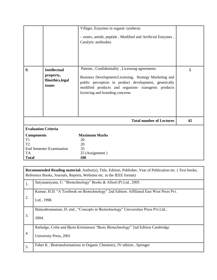|                                              |                                                                       | Villiger, Enzymes in organic synthesis<br>- esters, amide, peptide, Modified and Artificial Enzymes,<br>Catalytic antibodies                                                                                                                                |    |
|----------------------------------------------|-----------------------------------------------------------------------|-------------------------------------------------------------------------------------------------------------------------------------------------------------------------------------------------------------------------------------------------------------|----|
| 9.                                           | <b>Intellectual</b><br>property,<br><b>Bioethics, legal</b><br>issues | Patents, Confidentiality, Licensing agreements<br>Business Development/Licensing, Strategy Marketing and<br>public perception in product development, genetically<br>modified products and organism- transgenic products<br>licencing and branding concerns | 5  |
|                                              |                                                                       | <b>Total number of Lectures</b>                                                                                                                                                                                                                             | 42 |
| <b>Evaluation Criteria</b>                   |                                                                       |                                                                                                                                                                                                                                                             |    |
| <b>Components</b>                            |                                                                       | <b>Maximum Marks</b>                                                                                                                                                                                                                                        |    |
| T1                                           |                                                                       | 20                                                                                                                                                                                                                                                          |    |
| T <sub>2</sub>                               |                                                                       | 20                                                                                                                                                                                                                                                          |    |
| <b>End Semester Examination</b><br><b>TA</b> |                                                                       | 35<br>25 (Assignment)                                                                                                                                                                                                                                       |    |
| <b>Total</b>                                 |                                                                       | 100                                                                                                                                                                                                                                                         |    |

|    | <b>Recommended Reading material:</b> Author(s), Title, Edition, Publisher, Year of Publication etc. (Text books,<br>Reference Books, Journals, Reports, Websites etc. in the IEEE format) |
|----|-------------------------------------------------------------------------------------------------------------------------------------------------------------------------------------------|
| 1. | Satyanarayana, U. "Biotechnology" Books & Allied (P) Ltd., 2005.                                                                                                                          |
| 2. | Kumar, H.D. "A Textbook on Biotechnology" 2nd Edition. Affiliated East West Press Pvt.<br>Ltd., 1998.                                                                                     |
| 3. | Balasubramanian, D. etal., "Concepts in Biotechnology" Universities Press Pvt.Ltd.,<br>2004.                                                                                              |
| 4. | Ratledge, Colin and Bjorn Kristiansen "Basic Biotechnology" 2nd Edition Cambridge<br>University Press, 2001                                                                               |
| 5. | Faber K, Biotransformations in Organic Chemistry, IV edition, Springer                                                                                                                    |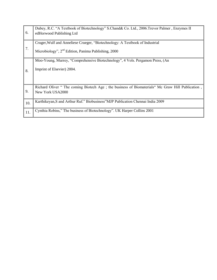| 6.  | Dubey, R.C. "A Textbook of Biotechnology" S.Chand & Co. Ltd., 2006. Trevor Palmer, Enzymes II<br>edHorwood Publishing Ltd                       |
|-----|-------------------------------------------------------------------------------------------------------------------------------------------------|
| 7.  | Cruger, Wulf and Anneliese Crueger, "Biotechnology: A Textbook of Industrial<br>Microbiology", 2 <sup>nd</sup> Edition, Panima Publishing, 2000 |
| 8.  | Moo-Young, Murrey, "Comprehensive Biotechnology", 4 Vols. Pergamon Press, (An<br>Imprint of Elsevier) 2004.                                     |
| 9.  | Richard Oliver " The coming Biotech Age ; the business of Biomaterials" Mc Graw Hill Publication,<br>New York USA2000                           |
| 10. | Karthikeyan, S and Arthur Ruf." Biobusiness" MJP Publication Chennai India 2009                                                                 |
| 11. | Cynthia Robins," The business of Biotechnology". UK Harper Collins 2001                                                                         |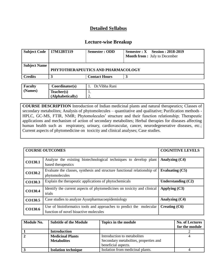#### **Lecture-wise Breakup**

| Subject Code   17M12BT119 | Semester : ODD                     | $Semester: X$ Session : 2018-2019<br><b>Month from :</b> July to December |
|---------------------------|------------------------------------|---------------------------------------------------------------------------|
| <b>Subject Name</b>       | PHYTOTHERAPEUTICS AND PHARMACOLOGY |                                                                           |
| <b>Credits</b>            | <b>Contact Hours</b>               |                                                                           |
|                           |                                    |                                                                           |

| <b>Faculty</b> | Coordinator(s)   | Dr. Vibha Rani |
|----------------|------------------|----------------|
| (Names)        | Teacher(s)       | . .            |
|                | (Alphabetically) | <u>L.</u>      |

**COURSE DESCRIPTION** Introduction of Indian medicinal plants and natural therapeutics; Classes of secondary metabolites; Analysis of phytomolecules – quantitative and qualitative; Purification methods - HPLC, GC-MS, FTIR, NMR; Phytomolecules' structure and their function relationship; Therapeutic applications and mechanism of action of secondary metabolites; Herbal therapies for diseases affecting human health such as respiratory, urinary, cardiovascular, cancer, neurodegenerative diseases, etc.; Current aspects of phytomedicine on toxicity and clinical analyses; Case studies.

|         | <b>COURSE OUTCOMES</b>                                                                                       | <b>COGNITIVE LEVELS</b> |
|---------|--------------------------------------------------------------------------------------------------------------|-------------------------|
| CO130.1 | Analyze the existing biotechnological techniques to develop plant<br>based therapeutics                      | Analyzing (C4)          |
| CO130.2 | Evaluate the classes, synthesis and structure functional relationship of<br>phytomolecules                   | Evaluating $(C5)$       |
| CO130.3 | Explain the therapeutic applications of phytochemicals                                                       | Understanding $(C2)$    |
| CO130.4 | Identify the current aspects of phytomedicines on toxicity and clinical<br>trials                            | Applying $(C3)$         |
| CO130.5 | Case studies to analyze Ayurpharmacoepidemiology                                                             | Analyzing (C4)          |
| CO130.6 | Use of bioinformatics tools and approaches to predict the molecular<br>function of novel bioactive molecules | Creating $(C6)$         |

| Module No. | <b>Subtitle of the Module</b> | Topics in the module                   | <b>No. of Lectures</b> |
|------------|-------------------------------|----------------------------------------|------------------------|
|            |                               |                                        | for the module         |
|            | <b>Introduction</b>           |                                        |                        |
|            | <b>Medicinal Plants</b>       | Introduction to metabolites            |                        |
|            | <b>Metabolites</b>            | Secondary metabolities, properties and |                        |
|            |                               | beneficial aspects.                    |                        |
|            | <b>Isolation technique</b>    | Isolation from medicinal plants.       |                        |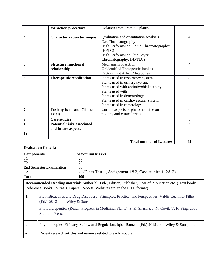|                                                              |                                                                                                                                           | extraction procedure                                                                              | Isolation from aromatic plants.                                                                                                                                                                                                            |                |
|--------------------------------------------------------------|-------------------------------------------------------------------------------------------------------------------------------------------|---------------------------------------------------------------------------------------------------|--------------------------------------------------------------------------------------------------------------------------------------------------------------------------------------------------------------------------------------------|----------------|
| $\overline{\mathbf{4}}$<br><b>Characterization technique</b> |                                                                                                                                           |                                                                                                   | Qualitative and quantitative Analysis<br>Gas Chromatogrophy<br>High Performance Liquid Chromatography:<br>(HPLC)<br>High Performance Thin Layer<br>Chromatography: (HPTLC)                                                                 | $\overline{4}$ |
| 5                                                            |                                                                                                                                           | <b>Structure functional</b><br>relationship                                                       | Mechanism of Action<br>Unidentified Therapeutic Intakes<br><b>Factors That Affect Metabolism</b>                                                                                                                                           | 4              |
| 6                                                            |                                                                                                                                           | <b>Therapeutic Application</b>                                                                    | Plants used in respiratory system.<br>Plants used in urinary system.<br>Plants used with antimicrobial activity.<br>Plants used with<br>Plants used in dermatology.<br>Plants used in cardiovascular system.<br>Plants used in romatology. | 8              |
| $\overline{7}$                                               |                                                                                                                                           | <b>Toxicity Issue and Clinical</b><br><b>Trials</b>                                               | Current aspects of phytomedicine on<br>toxicity and clinical trials                                                                                                                                                                        | 6              |
| 9                                                            |                                                                                                                                           | <b>Case studies</b>                                                                               |                                                                                                                                                                                                                                            | 8              |
| <b>Potential risks associated</b><br>10                      |                                                                                                                                           | and future aspects                                                                                |                                                                                                                                                                                                                                            | $\overline{2}$ |
| 12                                                           |                                                                                                                                           |                                                                                                   |                                                                                                                                                                                                                                            |                |
|                                                              |                                                                                                                                           |                                                                                                   | <b>Total number of Lectures</b>                                                                                                                                                                                                            | 42             |
| <b>Components</b><br>T1<br>T2<br><b>TA</b><br><b>Total</b>   | <b>Evaluation Criteria</b>                                                                                                                | <b>Maximum Marks</b><br>20<br>20<br>35<br><b>End Semester Examination</b><br>100                  | 25 (Class Test-1, Assignment-1&2, Case studies 1, 2& 3)                                                                                                                                                                                    |                |
|                                                              |                                                                                                                                           |                                                                                                   | <b>Recommended Reading material:</b> Author(s), Title, Edition, Publisher, Year of Publication etc. (Text books,<br>Reference Books, Journals, Papers, Reports, Websites etc. in the IEEE format)                                          |                |
| 1.                                                           | Plant Bioactives and Drug Discovery: Principles, Practice, and Perspectives. Valdir Cechinel-Filho<br>(Ed.). 2012 John Wiley & Sons, Inc. |                                                                                                   |                                                                                                                                                                                                                                            |                |
| 2.                                                           | Phytotherapeutics (Recent Progress in Medicinal Plants). S. K. Sharma, J. N. Govil, V. K. Sing. 2005.<br>Studium Press.                   |                                                                                                   |                                                                                                                                                                                                                                            |                |
| 3.                                                           |                                                                                                                                           | Phytotherapies: Efficacy, Safety, and Regulation. Iqbal Ramzan (Ed.) 2015 John Wiley & Sons, Inc. |                                                                                                                                                                                                                                            |                |
| 4.                                                           | Recent research articles and reviews related to each module.                                                                              |                                                                                                   |                                                                                                                                                                                                                                            |                |
|                                                              |                                                                                                                                           |                                                                                                   |                                                                                                                                                                                                                                            |                |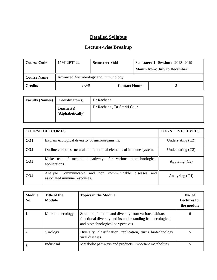| Course Code                                           | 17M12BT122 | <b>Semester: Odd</b> |  | <b>Semester: I Session: 2018 -2019</b> |
|-------------------------------------------------------|------------|----------------------|--|----------------------------------------|
|                                                       |            |                      |  | <b>Month from: July to December</b>    |
| Advanced Microbiology and Immunology<br>  Course Name |            |                      |  |                                        |
| <b>Credits</b>                                        | $3-0-0$    | <b>Contact Hours</b> |  |                                        |

| <b>Faculty (Names)</b> | Coordinator(s)                 | Dr Rachana                 |
|------------------------|--------------------------------|----------------------------|
|                        | Teacher(s)<br>(Alphabetically) | Dr Rachana, Dr Smriti Gaur |

|                 | <b>COURSE OUTCOMES</b>                                                                       | <b>COGNITIVE LEVELS</b> |
|-----------------|----------------------------------------------------------------------------------------------|-------------------------|
| CO <sub>1</sub> | Explain ecological diversity of microorganisms.                                              | Understating $(C2)$     |
| CO <sub>2</sub> | Outline various structural and functional elements of immune system.                         | Understating $(C2)$     |
| CO <sub>3</sub> | Make use of metabolic pathways for various biotechnological<br>applications.                 | Applying $(C3)$         |
| CO <sub>4</sub> | Analyze Communicable and non communicable<br>diseases<br>and<br>associated immune responses. | Analyzing (C4)          |

| <b>Module</b><br>No. | Title of the<br>Module | <b>Topics in the Module</b>                                                                                                                                 | No. of<br>Lectures for<br>the module |
|----------------------|------------------------|-------------------------------------------------------------------------------------------------------------------------------------------------------------|--------------------------------------|
| 1.                   | Microbial ecology      | Structure, function and diversity from various habitats,<br>functional diversity and its understanding from ecological<br>and biotechnological perspectives | 6                                    |
| 2.                   | Virology               | Diversity, classification, replication, virus biotechnology,<br>viral diseases                                                                              |                                      |
| 3.                   | Industrial             | Metabolic pathways and products; important metabolites                                                                                                      |                                      |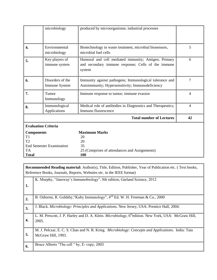|                                 | microbiology                      | produced by microorganisms; industrial processes                                                                     |                |  |
|---------------------------------|-----------------------------------|----------------------------------------------------------------------------------------------------------------------|----------------|--|
|                                 |                                   |                                                                                                                      |                |  |
| 4.                              | Environmental<br>microbiology     | Biotechnology in waste treatment, microbial biosensors,<br>microbial fuel cells                                      | 5              |  |
| 5.                              | Key players of<br>immune system   | Humoral and cell mediated immunity; Antigen; Primary<br>and secondary immune response; Cells of the immune<br>system |                |  |
| 6.                              | Disorders of the<br>Immune System | Immunity against pathogens; Immunological tolerance and<br>Autoimmunity; Hypersensitivity; Immunodeficiency          | 7              |  |
| 7.                              | Tumor<br>Immunology               | Immune response to tumor; immune evasion                                                                             | $\overline{4}$ |  |
| 8.                              | Immunological<br>Applications     | Medical role of antibodies in Diagnostics and Therapeutics;<br>Immuno fluorescence                                   | $\overline{4}$ |  |
|                                 |                                   | <b>Total number of Lectures</b>                                                                                      | 42             |  |
| <b>Evaluation Criteria</b>      |                                   |                                                                                                                      |                |  |
| <b>Components</b><br>T1         |                                   | <b>Maximum Marks</b><br>20                                                                                           |                |  |
| T2                              |                                   | 20                                                                                                                   |                |  |
| <b>End Semester Examination</b> |                                   | 35                                                                                                                   |                |  |
| <b>TA</b><br><b>Total</b>       |                                   | 25 (Comprises of attendances and Assignments)<br>100                                                                 |                |  |

**Recommended Reading material:** Author(s), Title, Edition, Publisher, Year of Publication etc. ( Text books, Reference Books, Journals, Reports, Websites etc. in the IEEE format)

|    | K. Murphy, "Janeway's Immunobiology", 8th edition, Garland Science, 2012.                                                 |
|----|---------------------------------------------------------------------------------------------------------------------------|
| 1. |                                                                                                                           |
| 2. | B. Osborne, R. Goldsby, "Kuby Immunology", $4^{nd}$ Ed. W. H. Freeman & Co., 2000                                         |
| 3. | J. Black. Microbiology: Principles and Applications. New Jersey, USA: Prentice Hall, 2004.                                |
| 4. | L. M. Prescott, J. P. Harley and D. A. Klein. Microbiology, 6 <sup>th</sup> edition. New York, USA: McGraw Hill,<br>2005. |
| 5. | M. J. Pelczar, E. C. S. Chan and N. R. Krieg. Microbiology: Concepts and Applications. India: Tata<br>McGraw Hill, 1993.  |
| 6. | Bruce Alberts "The cell " by, E-copy, 2003                                                                                |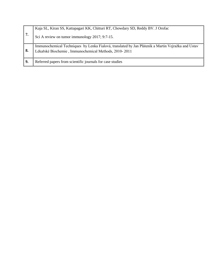| 7. | Kaja SL, Kiran SS, Kattapagari KK, Chitturi RT, Chowdary SD, Reddy BV. J Orofac<br>Sci A review on tumor immunology 2017; 9:7-15.                           |
|----|-------------------------------------------------------------------------------------------------------------------------------------------------------------|
| 8. | Immunochemical Techniques by Lenka Fialová, translated by Jan Pláteník a Martin Vejražka and Ustav<br>Lékařské Biochemie, Immunochemical Methods, 2010-2011 |
|    | Referred papers from scientific journals for case studies                                                                                                   |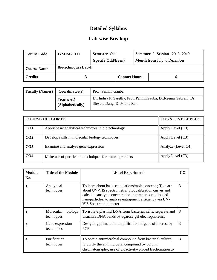#### **Lab-wise Breakup**

| Course Code         | 17M15BT111                 | Semester Odd<br>(specify Odd/Even) |                      | <b>Semester I Session</b> 2018-2019<br><b>Month from July to December</b> |  |  |
|---------------------|----------------------------|------------------------------------|----------------------|---------------------------------------------------------------------------|--|--|
| Course Name         | <b>Biotechniques Lab-I</b> |                                    |                      |                                                                           |  |  |
| $\parallel$ Credits |                            |                                    | <b>Contact Hours</b> |                                                                           |  |  |

| <b>Faculty (Names)</b> | Coordinator(s)                 | Prof. Pammi Gauba                                                                              |
|------------------------|--------------------------------|------------------------------------------------------------------------------------------------|
|                        | Teacher(s)<br>(Alphabetically) | Dr. Indira P. Sarethy, Prof. PammiGauba, Dr. Reema Gabrani, Dr.<br>Shweta Dang, Dr. Vibha Rani |

|                 | <b>COURSE OUTCOMES</b>                                   | <b>COGNITIVE LEVELS</b> |
|-----------------|----------------------------------------------------------|-------------------------|
| CO <sub>1</sub> | Apply basic analytical techniques in biotechnology       | Apply Level $(C3)$      |
| CO <sub>2</sub> | Develop skills in molecular biology techniques           | Apply Level $(C3)$      |
| CO <sub>3</sub> | Examine and analyse gene expression                      | Analyze (Level C4)      |
| CO <sub>4</sub> | Make use of purification techniques for natural products | Apply Level (C3)        |

| <b>Module</b><br>No. | <b>Title of the Module</b>         | <b>List of Experiments</b>                                                                                                                                                                                                                                         |   |
|----------------------|------------------------------------|--------------------------------------------------------------------------------------------------------------------------------------------------------------------------------------------------------------------------------------------------------------------|---|
| 1.                   | Analytical<br>techniques           | To learn about basic calculations/mole concepts; To learn<br>about UV-VIS spectrometry/ plot calibration curves and<br>calculate analyte concentration, to prepare drug-loaded<br>nanoparticles; to analyze entrapment efficiency via UV-<br>VIS Spectrophotometer | 3 |
|                      | Molecular<br>biology<br>techniques | To isolate plasmid DNA from bacterial cells; separate and<br>visualize DNA bands by agarose gel electrophoresis;                                                                                                                                                   | 3 |
| 3.                   | Gene expression<br>techniques      | Designing primers for amplification of gene of interest by<br><b>PCR</b>                                                                                                                                                                                           | 3 |
|                      | Purification<br>techniques         | To obtain antimicrobial compound from bacterial culture;<br>to purify the antimicrobial compound by column<br>chromatography; use of bioactivity-guided fractionation to                                                                                           | 3 |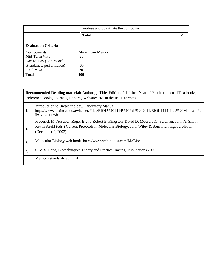|                            | analyse and quantitate the compound |    |
|----------------------------|-------------------------------------|----|
|                            | <b>Total</b>                        | 12 |
| <b>Evaluation Criteria</b> |                                     |    |
| <b>Components</b>          | <b>Maximum Marks</b>                |    |
| Mid-Term Viva              | 20                                  |    |
| Day-to-Day (Lab record,    |                                     |    |
| attendance, performance)   | 60                                  |    |
| Final Viva                 | 20                                  |    |
| <b>Total</b>               | 100                                 |    |

|    | Recommended Reading material: Author(s), Title, Edition, Publisher, Year of Publication etc. (Text books,<br>Reference Books, Journals, Reports, Websites etc. in the IEEE format)                                              |  |  |  |
|----|---------------------------------------------------------------------------------------------------------------------------------------------------------------------------------------------------------------------------------|--|--|--|
| 1. | Introduction to Biotechnology, Laboratory Manual:<br>http://www.austincc.edu/awheeler/Files/BIOL%201414%20Fall%202011/BIOL1414_Lab%20Manual_Fa<br>ll%202011.pdf                                                                 |  |  |  |
| 2. | Frederick M. Ausubel, Roger Brent, Robert E. Kingston, David D. Moore, J.G. Seidman, John A. Smith,<br>Kevin Struhl (eds.) Current Protocols in Molecular Biology. John Wiley & Sons Inc; ringbou edition<br>(December 4, 2003) |  |  |  |
| 3. | Molecular Biology web book- http://www.web-books.com/MoBio/                                                                                                                                                                     |  |  |  |
| 4. | S. V. S. Rana, Biotechniques Theory and Practice. Rastogi Publications 2008.                                                                                                                                                    |  |  |  |
| 5. | Methods standardized in lab                                                                                                                                                                                                     |  |  |  |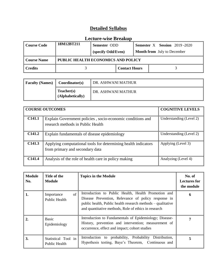| <b>Course Code</b> | 18M12BT211                         | Semester ODD<br>(specify Odd/Even) |                      |  | <b>Semester X</b> Session 2019-2020<br><b>Month from</b> July to December |
|--------------------|------------------------------------|------------------------------------|----------------------|--|---------------------------------------------------------------------------|
| <b>Course Name</b> | PUBLIC HEALTH ECONOMICS AND POLICY |                                    |                      |  |                                                                           |
| <b>Credits</b>     |                                    |                                    | <b>Contact Hours</b> |  |                                                                           |

| <b>Faculty (Names)</b> | Coordinator(s)                 | DR. ASHWANI MATHUR   |
|------------------------|--------------------------------|----------------------|
|                        | Teacher(s)<br>(Alphabetically) | I DR. ASHWANI MATHUR |

| <b>COURSE OUTCOMES</b> |                                                                                                   | <b>COGNITIVE LEVELS</b> |
|------------------------|---------------------------------------------------------------------------------------------------|-------------------------|
| C <sub>141.1</sub>     | Explain Government policies, socio-economic conditions and<br>research methods in Public Health   | Understanding (Level 2) |
| C141.2                 | Explain fundamentals of disease epidemiology                                                      | Understanding (Level 2) |
| C141.3                 | Applying computational tools for determining health indicators<br>from primary and secondary data | Applying (Level 3)      |
| C141.4                 | Analysis of the role of health care in policy making                                              | Analyzing (Level 4)     |

| <b>Module</b><br>No. | Title of the<br><b>Module</b>            | <b>Topics in the Module</b>                                                                                                                                                                                                       | No. of<br><b>Lectures for</b><br>the module |
|----------------------|------------------------------------------|-----------------------------------------------------------------------------------------------------------------------------------------------------------------------------------------------------------------------------------|---------------------------------------------|
| 1.                   | of<br>Importance<br><b>Public Health</b> | Introduction to Public Health, Health Promotion and<br>Disease Prevention, Relevance of policy response in<br>public health, Public health research methods – qualitative<br>and quantitative methods, Role of ethics in research | 6                                           |
| 2.                   | Basic<br>Epidemiology                    | Introduction to Fundamentals of Epidemiology; Disease-<br>History, prevention and intervention; measurement of<br>occurrence, effect and impact; cohort studies                                                                   | 7                                           |
| 3.                   | Statistical Tool in<br>Public Health     | Introduction to probability, Probability Distribution,<br>Hypothesis testing, Baye's Theorem, Continuous and                                                                                                                      | 5                                           |